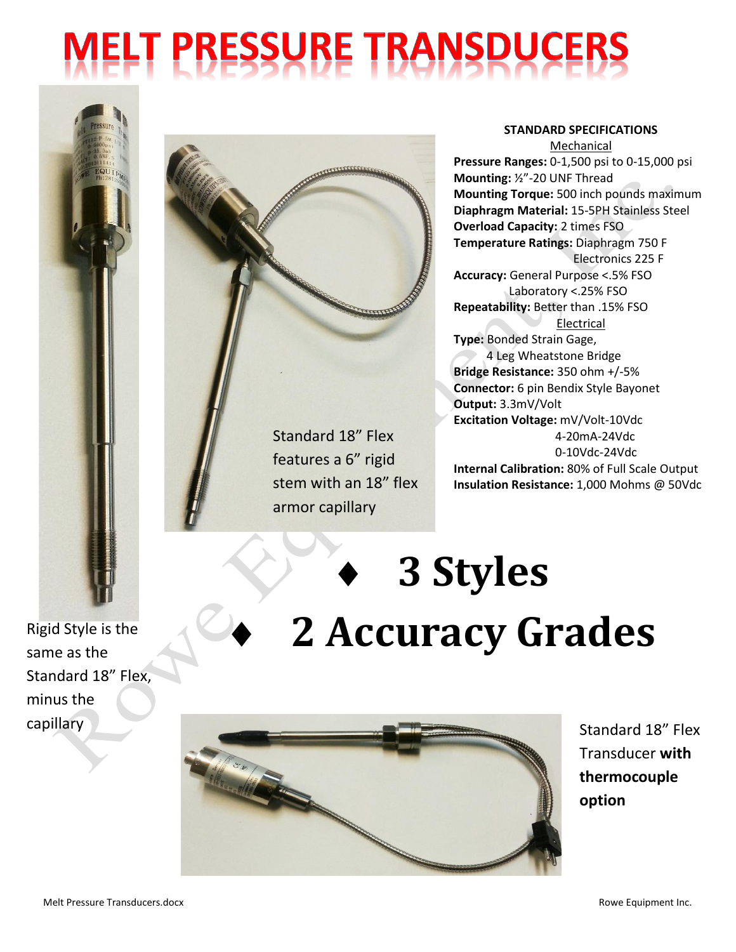## **MELT PRESSURE TRANSDUCERS**



Standard 18" Flex

features a 6" rigid stem with an 18" flex armor capillary

**STANDARD SPECIFICATIONS** Mechanical

**Pressure Ranges:** 0-1,500 psi to 0-15,000 psi **Mounting:** ½"-20 UNF Thread **Mounting Torque:** 500 inch pounds maximum **Diaphragm Material:** 15-5PH Stainless Steel **Overload Capacity:** 2 times FSO **Temperature Ratings:** Diaphragm 750 F Electronics 225 F **Accuracy:** General Purpose <.5% FSO Laboratory <.25% FSO **Repeatability:** Better than .15% FSO Electrical **Type:** Bonded Strain Gage, 4 Leg Wheatstone Bridge **Bridge Resistance:** 350 ohm +/-5% **Connector:** 6 pin Bendix Style Bayonet **Output:** 3.3mV/Volt **Excitation Voltage:** mV/Volt-10Vdc 4-20mA-24Vdc 0-10Vdc-24Vdc **Internal Calibration:** 80% of Full Scale Output **Insulation Resistance:** 1,000 Mohms @ 50Vdc

## **3 Styles 2 Accuracy Grades**



Transducer **with thermocouple option**

minus the

Standard 18" Flex,

same as the